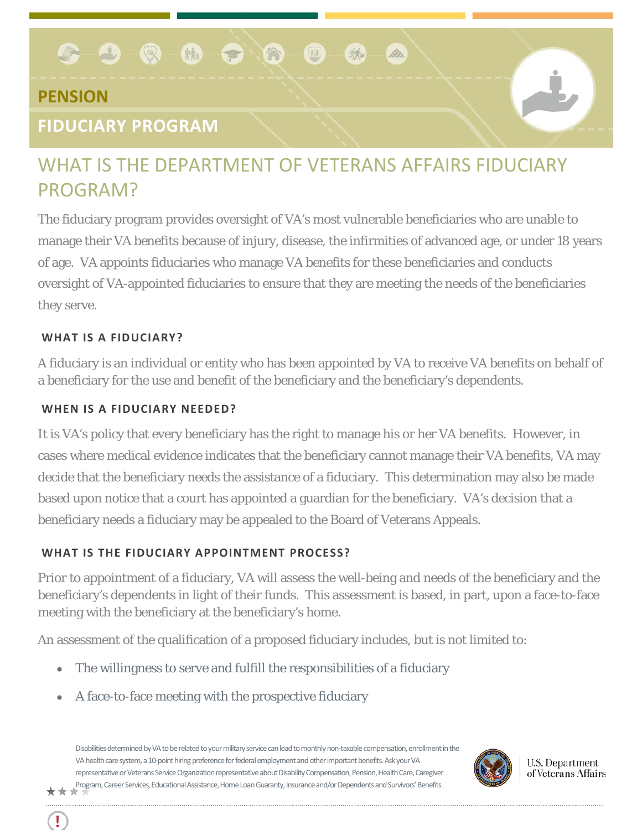#### $\mathbb{R}$  40  $\circ$   $\circ$   $\circ$   $\circ$   $\circ$

## **PENSION**

## **FIDUCIARY PROGRAM**

# WHAT IS THE DEPARTMENT OF VETERANS AFFAIRS FIDUCIARY PROGRAM?

麻

麻

B.

The fiduciary program provides oversight of VA's most vulnerable beneficiaries who are unable to manage their VA benefits because of injury, disease, the infirmities of advanced age, or under 18 years of age. VA appoints fiduciaries who manage VA benefits for these beneficiaries and conducts oversight of VA-appointed fiduciaries to ensure that they are meeting the needs of the beneficiaries they serve.

#### **WHAT IS A FIDUCIARY?**

Ţ

A fiduciary is an individual or entity who has been appointed by VA to receive VA benefits on behalf of a beneficiary for the use and benefit of the beneficiary and the beneficiary's dependents.

#### **WHEN IS A FIDUCIARY NEEDED?**

It is VA's policy that every beneficiary has the right to manage his or her VA benefits. However, in cases where medical evidence indicates that the beneficiary cannot manage their VA benefits, VA may decide that the beneficiary needs the assistance of a fiduciary. This determination may also be made based upon notice that a court has appointed a guardian for the beneficiary. VA's decision that a beneficiary needs a fiduciary may be appealed to the Board of Veterans Appeals.

#### **WHAT IS THE FIDUCIARY APPOINTMENT PROCESS?**

Prior to appointment of a fiduciary, VA will assess the well-being and needs of the beneficiary and the beneficiary's dependents in light of their funds. This assessment is based, in part, upon a face-to-face meeting with the beneficiary at the beneficiary's home.

An assessment of the qualification of a proposed fiduciary includes, but is not limited to:

- The willingness to serve and fulfill the responsibilities of a fiduciary
- A face-to-face meeting with the prospective fiduciary

Disabilities determined by VA to be related to your military service can lead to monthly non-taxable compensation, enrollment in the VA health care system, a 10-point hiring preference for federal employment and other important benefits. Ask your VA representative or Veterans Service Organization representative about Disability Compensation, Pension, Health Care, Caregiver Program, Career Services, Educational Assistance, Home Loan Guaranty, Insurance and/or Dependents and Survivors' Benefits.



**U.S. Department** of Veterans Affairs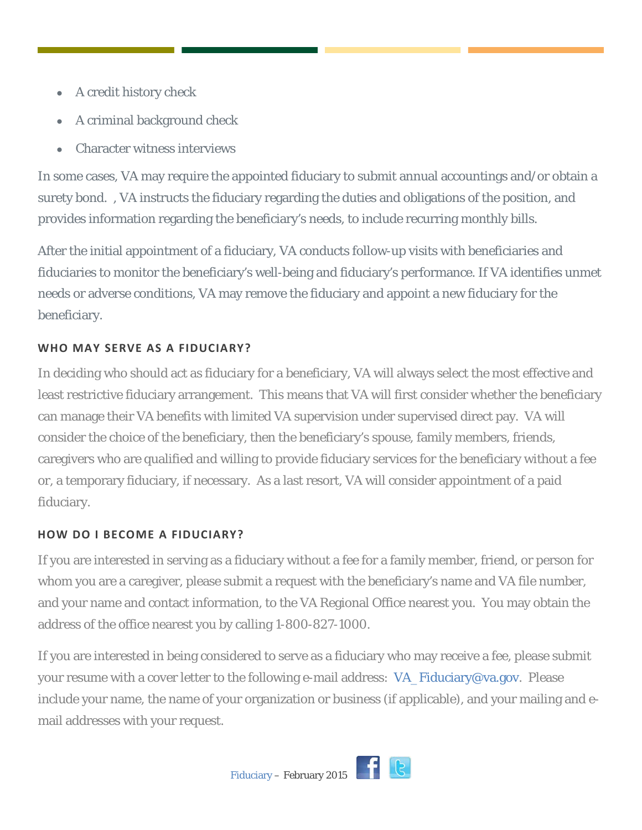- A credit history check
- A criminal background check
- Character witness interviews

In some cases, VA may require the appointed fiduciary to submit annual accountings and/or obtain a surety bond. , VA instructs the fiduciary regarding the duties and obligations of the position, and provides information regarding the beneficiary's needs, to include recurring monthly bills.

After the initial appointment of a fiduciary, VA conducts follow-up visits with beneficiaries and fiduciaries to monitor the beneficiary's well-being and fiduciary's performance. If VA identifies unmet needs or adverse conditions, VA may remove the fiduciary and appoint a new fiduciary for the beneficiary.

### **WHO MAY SERVE AS A FIDUCIARY?**

In deciding who should act as fiduciary for a beneficiary, VA will always select the most effective and least restrictive fiduciary arrangement. This means that VA will first consider whether the beneficiary can manage their VA benefits with limited VA supervision under supervised direct pay. VA will consider the choice of the beneficiary, then the beneficiary's spouse, family members, friends, caregivers who are qualified and willing to provide fiduciary services for the beneficiary without a fee or, a temporary fiduciary, if necessary. As a last resort, VA will consider appointment of a paid fiduciary.

#### **HOW DO I BECOME A FIDUCIARY?**

If you are interested in serving as a fiduciary without a fee for a family member, friend, or person for whom you are a caregiver, please submit a request with the beneficiary's name and VA file number, and your name and contact information, to the VA Regional Office nearest you. You may obtain the address of the office nearest you by calling 1-800-827-1000.

If you are interested in being considered to serve as a fiduciary who may receive a fee, please submit your resume with a cover letter to the following e-mail address: [VA\\_Fiduciary@va.gov.](mailto:VA_Fiduciary@va.gov) Please include your name, the name of your organization or business (if applicable), and your mailing and email addresses with your request.